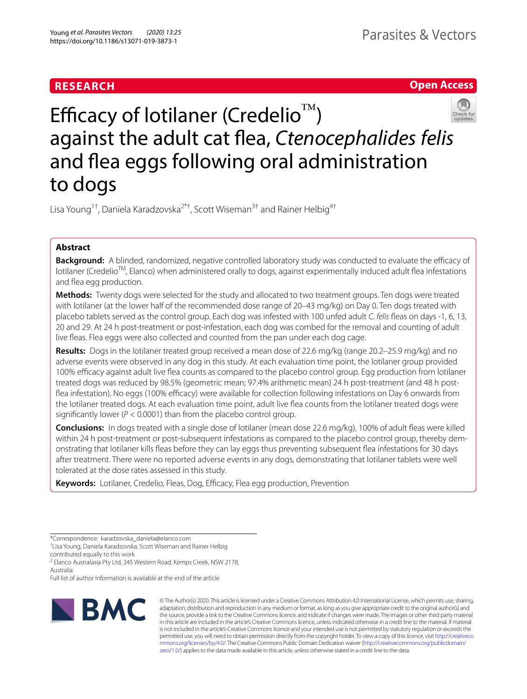# **RESEARCH**

**Open Access**



Efficacy of lotilaner (Credelio<sup>™</sup>) against the adult cat fea, *Ctenocephalides felis* and fea eggs following oral administration to dogs

Lisa Young<sup>1†</sup>, Daniela Karadzovska<sup>2\*†</sup>, Scott Wiseman<sup>3†</sup> and Rainer Helbig<sup>4†</sup>

# **Abstract**

Background: A blinded, randomized, negative controlled laboratory study was conducted to evaluate the efficacy of lotilaner (CredelioTM, Elanco) when administered orally to dogs, against experimentally induced adult fea infestations and flea egg production.

**Methods:** Twenty dogs were selected for the study and allocated to two treatment groups. Ten dogs were treated with lotilaner (at the lower half of the recommended dose range of 20–43 mg/kg) on Day 0. Ten dogs treated with placebo tablets served as the control group. Each dog was infested with 100 unfed adult *C. felis* feas on days -1, 6, 13, 20 and 29. At 24 h post-treatment or post-infestation, each dog was combed for the removal and counting of adult live feas. Flea eggs were also collected and counted from the pan under each dog cage.

**Results:** Dogs in the lotilaner treated group received a mean dose of 22.6 mg/kg (range 20.2–25.9 mg/kg) and no adverse events were observed in any dog in this study. At each evaluation time point, the lotilaner group provided 100% efficacy against adult live flea counts as compared to the placebo control group. Egg production from lotilaner treated dogs was reduced by 98.5% (geometric mean; 97.4% arithmetic mean) 24 h post-treatment (and 48 h postflea infestation). No eggs (100% efficacy) were available for collection following infestations on Day 6 onwards from the lotilaner treated dogs. At each evaluation time point, adult live fea counts from the lotilaner treated dogs were significantly lower ( $P < 0.0001$ ) than from the placebo control group.

**Conclusions:** In dogs treated with a single dose of lotilaner (mean dose 22.6 mg/kg), 100% of adult feas were killed within 24 h post-treatment or post-subsequent infestations as compared to the placebo control group, thereby demonstrating that lotilaner kills feas before they can lay eggs thus preventing subsequent fea infestations for 30 days after treatment. There were no reported adverse events in any dogs, demonstrating that lotilaner tablets were well tolerated at the dose rates assessed in this study.

**Keywords:** Lotilaner, Credelio, Fleas, Dog, Efficacy, Flea egg production, Prevention

Full list of author information is available at the end of the article



© The Author(s) 2020. This article is licensed under a Creative Commons Attribution 4.0 International License, which permits use, sharing, adaptation, distribution and reproduction in any medium or format, as long as you give appropriate credit to the original author(s) and the source, provide a link to the Creative Commons licence, and indicate if changes were made. The images or other third party material in this article are included in the article's Creative Commons licence, unless indicated otherwise in a credit line to the material. If material is not included in the article's Creative Commons licence and your intended use is not permitted by statutory regulation or exceeds the permitted use, you will need to obtain permission directly from the copyright holder. To view a copy of this licence, visit [http://creativeco](http://creativecommons.org/licenses/by/4.0/) [mmons.org/licenses/by/4.0/.](http://creativecommons.org/licenses/by/4.0/) The Creative Commons Public Domain Dedication waiver ([http://creativecommons.org/publicdomain/](http://creativecommons.org/publicdomain/zero/1.0/) [zero/1.0/\)](http://creativecommons.org/publicdomain/zero/1.0/) applies to the data made available in this article, unless otherwise stated in a credit line to the data.

<sup>\*</sup>Correspondence: karadzovska\_daniela@elanco.com

<sup>†</sup> Lisa Young, Daniela Karadzovska, Scott Wiseman and Rainer Helbig

contributed equally to this work

<sup>&</sup>lt;sup>2</sup> Elanco Australasia Pty Ltd, 245 Western Road, Kemps Creek, NSW 2178, Australia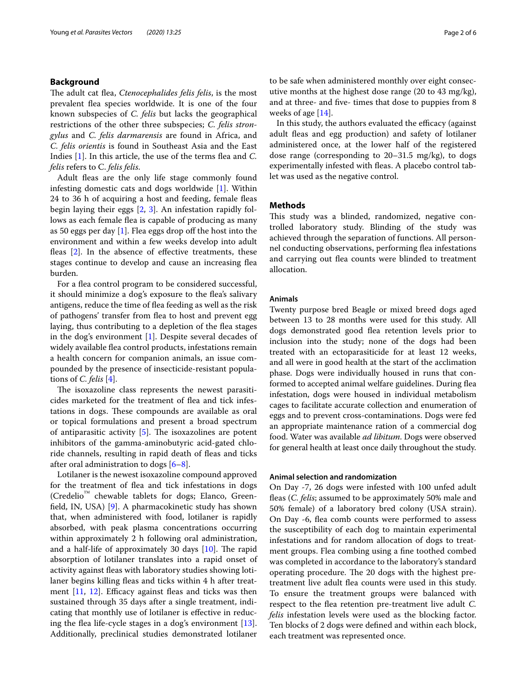# **Background**

The adult cat flea, *Ctenocephalides felis felis*, is the most prevalent fea species worldwide. It is one of the four known subspecies of *C. felis* but lacks the geographical restrictions of the other three subspecies; *C. felis strongylus* and *C. felis darmarensis* are found in Africa, and *C. felis orientis* is found in Southeast Asia and the East Indies [[1\]](#page-5-0). In this article, the use of the terms fea and *C. felis* refers to C. *felis felis*.

Adult fleas are the only life stage commonly found infesting domestic cats and dogs worldwide [[1\]](#page-5-0). Within 24 to 36 h of acquiring a host and feeding, female feas begin laying their eggs [[2,](#page-5-1) [3](#page-5-2)]. An infestation rapidly follows as each female flea is capable of producing as many as 50 eggs per day  $[1]$  $[1]$ . Flea eggs drop off the host into the environment and within a few weeks develop into adult fleas [[2\]](#page-5-1). In the absence of effective treatments, these stages continue to develop and cause an increasing fea burden.

For a flea control program to be considered successful, it should minimize a dog's exposure to the fea's salivary antigens, reduce the time of fea feeding as well as the risk of pathogens' transfer from fea to host and prevent egg laying, thus contributing to a depletion of the fea stages in the dog's environment [\[1](#page-5-0)]. Despite several decades of widely available fea control products, infestations remain a health concern for companion animals, an issue compounded by the presence of insecticide-resistant populations of *C. felis* [\[4](#page-5-3)].

The isoxazoline class represents the newest parasiticides marketed for the treatment of flea and tick infestations in dogs. These compounds are available as oral or topical formulations and present a broad spectrum of antiparasitic activity  $[5]$  $[5]$ . The isoxazolines are potent inhibitors of the gamma-aminobutyric acid-gated chloride channels, resulting in rapid death of fleas and ticks after oral administration to dogs  $[6-8]$  $[6-8]$ .

Lotilaner is the newest isoxazoline compound approved for the treatment of fea and tick infestations in dogs (Credelio™ chewable tablets for dogs; Elanco, Greenfeld, IN, USA) [\[9\]](#page-5-7). A pharmacokinetic study has shown that, when administered with food, lotilaner is rapidly absorbed, with peak plasma concentrations occurring within approximately 2 h following oral administration, and a half-life of approximately 30 days  $[10]$  $[10]$ . The rapid absorption of lotilaner translates into a rapid onset of activity against feas with laboratory studies showing lotilaner begins killing fleas and ticks within 4 h after treatment  $[11, 12]$  $[11, 12]$  $[11, 12]$ . Efficacy against fleas and ticks was then sustained through 35 days after a single treatment, indicating that monthly use of lotilaner is efective in reducing the flea life-cycle stages in a dog's environment  $[13]$  $[13]$ . Additionally, preclinical studies demonstrated lotilaner to be safe when administered monthly over eight consecutive months at the highest dose range (20 to 43 mg/kg), and at three- and fve- times that dose to puppies from 8 weeks of age [\[14](#page-5-12)].

In this study, the authors evaluated the efficacy (against adult feas and egg production) and safety of lotilaner administered once, at the lower half of the registered dose range (corresponding to 20–31.5 mg/kg), to dogs experimentally infested with feas. A placebo control tablet was used as the negative control.

# **Methods**

This study was a blinded, randomized, negative controlled laboratory study. Blinding of the study was achieved through the separation of functions. All personnel conducting observations, performing flea infestations and carrying out fea counts were blinded to treatment allocation.

## **Animals**

Twenty purpose bred Beagle or mixed breed dogs aged between 13 to 28 months were used for this study. All dogs demonstrated good fea retention levels prior to inclusion into the study; none of the dogs had been treated with an ectoparasiticide for at least 12 weeks, and all were in good health at the start of the acclimation phase. Dogs were individually housed in runs that conformed to accepted animal welfare guidelines. During flea infestation, dogs were housed in individual metabolism cages to facilitate accurate collection and enumeration of eggs and to prevent cross-contaminations. Dogs were fed an appropriate maintenance ration of a commercial dog food. Water was available *ad libitum*. Dogs were observed for general health at least once daily throughout the study.

## **Animal selection and randomization**

On Day -7, 26 dogs were infested with 100 unfed adult feas (*C. felis*; assumed to be approximately 50% male and 50% female) of a laboratory bred colony (USA strain). On Day -6, fea comb counts were performed to assess the susceptibility of each dog to maintain experimental infestations and for random allocation of dogs to treatment groups. Flea combing using a fne toothed combed was completed in accordance to the laboratory's standard operating procedure. The 20 dogs with the highest pretreatment live adult fea counts were used in this study. To ensure the treatment groups were balanced with respect to the fea retention pre-treatment live adult *C. felis* infestation levels were used as the blocking factor. Ten blocks of 2 dogs were defned and within each block, each treatment was represented once.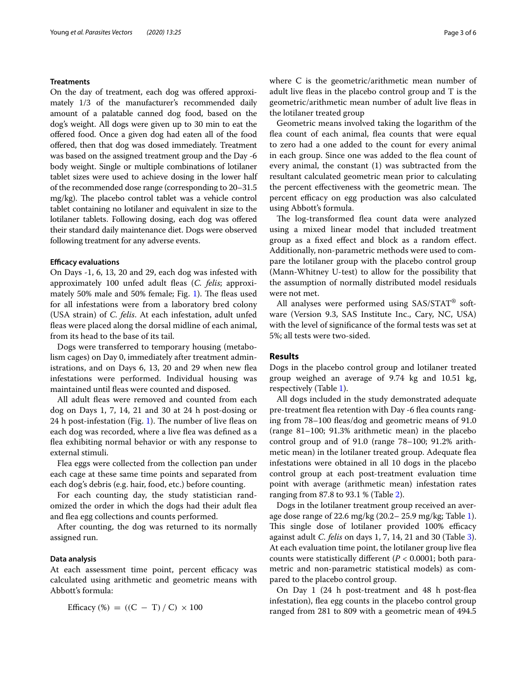# **Treatments**

On the day of treatment, each dog was ofered approximately 1/3 of the manufacturer's recommended daily amount of a palatable canned dog food, based on the dog's weight. All dogs were given up to 30 min to eat the ofered food. Once a given dog had eaten all of the food ofered, then that dog was dosed immediately. Treatment was based on the assigned treatment group and the Day -6 body weight. Single or multiple combinations of lotilaner tablet sizes were used to achieve dosing in the lower half of the recommended dose range (corresponding to 20–31.5  $mg/kg$ ). The placebo control tablet was a vehicle control tablet containing no lotilaner and equivalent in size to the lotilaner tablets. Following dosing, each dog was ofered their standard daily maintenance diet. Dogs were observed following treatment for any adverse events.

## **Efcacy evaluations**

On Days -1, 6, 13, 20 and 29, each dog was infested with approximately 100 unfed adult feas (*C. felis*; approxi-mately 50% male and 50% female; Fig. [1\)](#page-3-0). The fleas used for all infestations were from a laboratory bred colony (USA strain) of *C. felis*. At each infestation, adult unfed feas were placed along the dorsal midline of each animal, from its head to the base of its tail.

Dogs were transferred to temporary housing (metabolism cages) on Day 0, immediately after treatment administrations, and on Days 6, 13, 20 and 29 when new flea infestations were performed. Individual housing was maintained until feas were counted and disposed.

All adult fleas were removed and counted from each dog on Days 1, 7, 14, 21 and 30 at 24 h post-dosing or 24 h post-infestation (Fig. [1](#page-3-0)). The number of live fleas on each dog was recorded, where a live flea was defined as a fea exhibiting normal behavior or with any response to external stimuli.

Flea eggs were collected from the collection pan under each cage at these same time points and separated from each dog's debris (e.g. hair, food, etc.) before counting.

For each counting day, the study statistician randomized the order in which the dogs had their adult fea and fea egg collections and counts performed.

After counting, the dog was returned to its normally assigned run.

## **Data analysis**

At each assessment time point, percent efficacy was calculated using arithmetic and geometric means with Abbott's formula:

Efficacy (%) = ((C - T) / C) 
$$
\times
$$
 100

where C is the geometric/arithmetic mean number of adult live feas in the placebo control group and T is the geometric/arithmetic mean number of adult live feas in the lotilaner treated group

Geometric means involved taking the logarithm of the flea count of each animal, flea counts that were equal to zero had a one added to the count for every animal in each group. Since one was added to the fea count of every animal, the constant (1) was subtracted from the resultant calculated geometric mean prior to calculating the percent effectiveness with the geometric mean. The percent efficacy on egg production was also calculated using Abbott's formula.

The log-transformed flea count data were analyzed using a mixed linear model that included treatment group as a fxed efect and block as a random efect. Additionally, non-parametric methods were used to compare the lotilaner group with the placebo control group (Mann-Whitney U-test) to allow for the possibility that the assumption of normally distributed model residuals were not met.

All analyses were performed using SAS/STAT® software (Version 9.3, SAS Institute Inc., Cary, NC, USA) with the level of signifcance of the formal tests was set at 5%; all tests were two-sided.

# **Results**

Dogs in the placebo control group and lotilaner treated group weighed an average of 9.74 kg and 10.51 kg, respectively (Table [1](#page-3-1)).

All dogs included in the study demonstrated adequate pre-treatment flea retention with Day -6 flea counts ranging from 78–100 feas/dog and geometric means of 91.0 (range 81–100; 91.3% arithmetic mean) in the placebo control group and of 91.0 (range 78–100; 91.2% arithmetic mean) in the lotilaner treated group. Adequate fea infestations were obtained in all 10 dogs in the placebo control group at each post-treatment evaluation time point with average (arithmetic mean) infestation rates ranging from 87.8 to 93.1 % (Table [2\)](#page-3-2).

Dogs in the lotilaner treatment group received an average dose range of 22.6 mg/kg (20.2– 25.9 mg/kg; Table [1](#page-3-1)). This single dose of lotilaner provided 100% efficacy against adult *C. felis* on days 1, 7, 14, 21 and 30 (Table [3](#page-4-0)). At each evaluation time point, the lotilaner group live fea counts were statistically diferent (*P* < 0.0001; both parametric and non-parametric statistical models) as compared to the placebo control group.

On Day 1 (24 h post-treatment and 48 h post-fea infestation), fea egg counts in the placebo control group ranged from 281 to 809 with a geometric mean of 494.5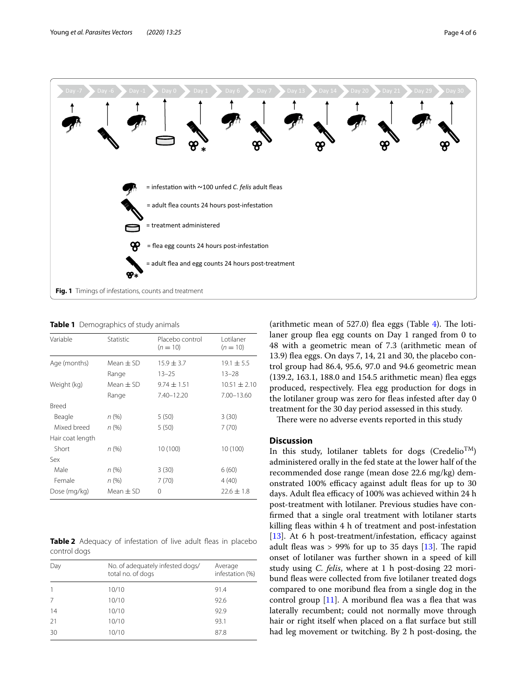

<span id="page-3-1"></span><span id="page-3-0"></span>**Table 1** Demographics of study animals

| Variable         | Statistic     | Placebo control<br>$(n = 10)$ | Lotilaner<br>$(n = 10)$ |
|------------------|---------------|-------------------------------|-------------------------|
| Age (months)     | Mean $\pm$ SD | $15.9 \pm 3.7$                | $19.1 \pm 5.5$          |
|                  | Range         | $13 - 25$                     | $13 - 28$               |
| Weight (kg)      | Mean $\pm$ SD | $9.74 \pm 1.51$               | $10.51 + 2.10$          |
|                  | Range         | 7.40-12.20                    | $7.00 - 13.60$          |
| Breed            |               |                               |                         |
| Beagle           | n (%)         | 5(50)                         | 3(30)                   |
| Mixed breed      | n (%)         | 5(50)                         | 7(70)                   |
| Hair coat length |               |                               |                         |
| Short            | n (%)         | 10 (100)                      | 10 (100)                |
| Sex              |               |                               |                         |
| Male             | n (%)         | 3(30)                         | 6(60)                   |
| Female           | $n (\%)$      | 7(70)                         | 4(40)                   |
| Dose (mg/kg)     | Mean $\pm$ SD | 0                             | $22.6 \pm 1.8$          |

<span id="page-3-2"></span>**Table 2** Adequacy of infestation of live adult fleas in placebo control dogs

| Day          | No. of adequately infested dogs/<br>total no. of dogs | Average<br>infestation (%) |  |
|--------------|-------------------------------------------------------|----------------------------|--|
| $\mathbf{1}$ | 10/10                                                 | 91.4                       |  |
| 7            | 10/10                                                 | 92.6                       |  |
| 14           | 10/10                                                 | 92.9                       |  |
| 21           | 10/10                                                 | 93.1                       |  |
| 30           | 10/10                                                 | 87.8                       |  |

(arithmetic mean of  $527.0$ ) flea eggs (Table [4\)](#page-4-1). The lotilaner group fea egg counts on Day 1 ranged from 0 to 48 with a geometric mean of 7.3 (arithmetic mean of 13.9) fea eggs. On days 7, 14, 21 and 30, the placebo control group had 86.4, 95.6, 97.0 and 94.6 geometric mean (139.2, 163.1, 188.0 and 154.5 arithmetic mean) fea eggs produced, respectively. Flea egg production for dogs in the lotilaner group was zero for fleas infested after day 0 treatment for the 30 day period assessed in this study.

There were no adverse events reported in this study

# **Discussion**

In this study, lotilaner tablets for dogs (Credelio<sup>TM</sup>) administered orally in the fed state at the lower half of the recommended dose range (mean dose 22.6 mg/kg) demonstrated 100% efficacy against adult fleas for up to 30 days. Adult flea efficacy of 100% was achieved within 24 h post-treatment with lotilaner. Previous studies have confrmed that a single oral treatment with lotilaner starts killing fleas within 4 h of treatment and post-infestation [ $13$ ]. At 6 h post-treatment/infestation, efficacy against adult fleas was  $> 99\%$  for up to 35 days [\[13](#page-5-11)]. The rapid onset of lotilaner was further shown in a speed of kill study using *C. felis*, where at 1 h post-dosing 22 moribund fleas were collected from five lotilaner treated dogs compared to one moribund fea from a single dog in the control group  $[11]$  $[11]$ . A moribund flea was a flea that was laterally recumbent; could not normally move through hair or right itself when placed on a flat surface but still had leg movement or twitching. By 2 h post-dosing, the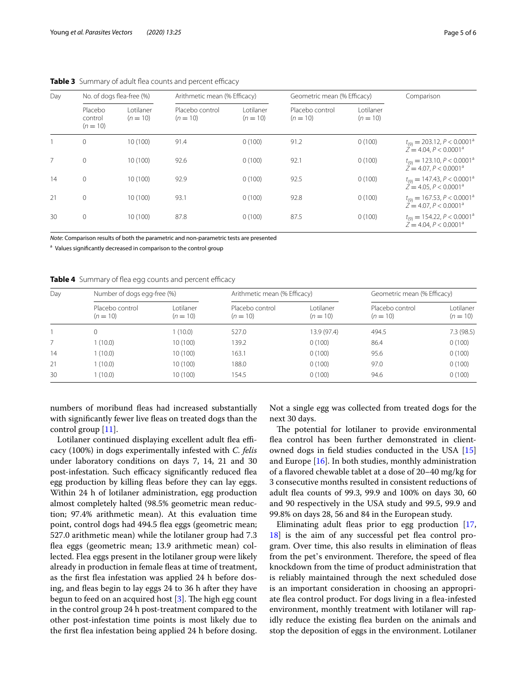| Day | No. of dogs flea-free (%)        |                         | Arithmetic mean (% Efficacy)  |                         | Geometric mean (% Efficacy)   |                         | Comparison                                                                                 |  |
|-----|----------------------------------|-------------------------|-------------------------------|-------------------------|-------------------------------|-------------------------|--------------------------------------------------------------------------------------------|--|
|     | Placebo<br>control<br>$(n = 10)$ | Lotilaner<br>$(n = 10)$ | Placebo control<br>$(n = 10)$ | Lotilaner<br>$(n = 10)$ | Placebo control<br>$(n = 10)$ | Lotilaner<br>$(n = 10)$ |                                                                                            |  |
|     | $\mathbf{0}$                     | 10(100)                 | 91.4                          | 0(100)                  | 91.2                          | 0(100)                  | $t_{(9)} = 203.12, P < 0.0001^a$<br>$Z = 4.04, P < 0.0001a$                                |  |
| 7   | $\mathbf{0}$                     | 10(100)                 | 92.6                          | 0(100)                  | 92.1                          | 0(100)                  | $t_{(9)} = 123.10, P < 0.0001^{\circ}$<br>$\ddot{Z} = 4.07. P < 0.0001^a$                  |  |
| 14  | $\mathbf{0}$                     | 10 (100)                | 92.9                          | 0(100)                  | 92.5                          | 0(100)                  | $t_{(9)} = 147.43, P < 0.0001^{\text{a}}$<br>$\ddot{Z} = 4.05$ , $P < 0.0001$ <sup>a</sup> |  |
| 21  | $\mathbf{0}$                     | 10(100)                 | 93.1                          | 0(100)                  | 92.8                          | 0(100)                  | $t_{(9)} = 167.53, P < 0.0001^a$<br>$\ddot{Z} = 4.07. P < 0.0001^a$                        |  |
| 30  | $\mathbf{0}$                     | 10 (100)                | 87.8                          | 0(100)                  | 87.5                          | 0(100)                  | $t_{(9)} = 154.22, P < 0.0001^{\circ}$<br>$\ddot{Z} = 4.04. P < 0.0001^a$                  |  |

<span id="page-4-0"></span>**Table 3** Summary of adult flea counts and percent efficacy

*Note*: Comparison results of both the parametric and non-parametric tests are presented

<sup>a</sup> Values significantly decreased in comparison to the control group

<span id="page-4-1"></span>Table 4 Summary of flea egg counts and percent efficacy

| Day | Number of dogs egg-free (%)   |                          | Arithmetic mean (% Efficacy)  |                         | Geometric mean (% Efficacy)   |                         |
|-----|-------------------------------|--------------------------|-------------------------------|-------------------------|-------------------------------|-------------------------|
|     | Placebo control<br>$(n = 10)$ | l otilaner<br>$(n = 10)$ | Placebo control<br>$(n = 10)$ | Lotilaner<br>$(n = 10)$ | Placebo control<br>$(n = 10)$ | Lotilaner<br>$(n = 10)$ |
|     | 0                             | 1 (10.0)                 | 527.0                         | 13.9 (97.4)             | 494.5                         | 7.3 (98.5)              |
|     | 1(10.0)                       | 10(100)                  | 139.2                         | 0(100)                  | 86.4                          | 0(100)                  |
| 14  | (10.0)                        | 10(100)                  | 163.1                         | 0(100)                  | 95.6                          | 0(100)                  |
| 21  | (10.0)                        | 10(100)                  | 188.0                         | 0(100)                  | 97.0                          | 0(100)                  |
| 30  | (10.0)                        | 10(100)                  | 154.5                         | 0(100)                  | 94.6                          | 0(100)                  |

numbers of moribund feas had increased substantially with signifcantly fewer live feas on treated dogs than the control group [\[11](#page-5-9)].

Lotilaner continued displaying excellent adult flea efficacy (100%) in dogs experimentally infested with *C. felis* under laboratory conditions on days 7, 14, 21 and 30 post-infestation. Such efficacy significantly reduced flea egg production by killing fleas before they can lay eggs. Within 24 h of lotilaner administration, egg production almost completely halted (98.5% geometric mean reduction; 97.4% arithmetic mean). At this evaluation time point, control dogs had 494.5 flea eggs (geometric mean; 527.0 arithmetic mean) while the lotilaner group had 7.3 fea eggs (geometric mean; 13.9 arithmetic mean) collected. Flea eggs present in the lotilaner group were likely already in production in female feas at time of treatment, as the frst fea infestation was applied 24 h before dosing, and feas begin to lay eggs 24 to 36 h after they have begun to feed on an acquired host  $[3]$  $[3]$ . The high egg count in the control group 24 h post-treatment compared to the other post-infestation time points is most likely due to the frst fea infestation being applied 24 h before dosing. Not a single egg was collected from treated dogs for the next 30 days.

The potential for lotilaner to provide environmental fea control has been further demonstrated in clientowned dogs in feld studies conducted in the USA [[15](#page-5-13)] and Europe [\[16](#page-5-14)]. In both studies, monthly administration of a favored chewable tablet at a dose of 20–40 mg/kg for 3 consecutive months resulted in consistent reductions of adult fea counts of 99.3, 99.9 and 100% on days 30, 60 and 90 respectively in the USA study and 99.5, 99.9 and 99.8% on days 28, 56 and 84 in the European study.

Eliminating adult feas prior to egg production [[17](#page-5-15), [18\]](#page-5-16) is the aim of any successful pet fea control program. Over time, this also results in elimination of feas from the pet's environment. Therefore, the speed of flea knockdown from the time of product administration that is reliably maintained through the next scheduled dose is an important consideration in choosing an appropriate fea control product. For dogs living in a fea-infested environment, monthly treatment with lotilaner will rapidly reduce the existing fea burden on the animals and stop the deposition of eggs in the environment. Lotilaner